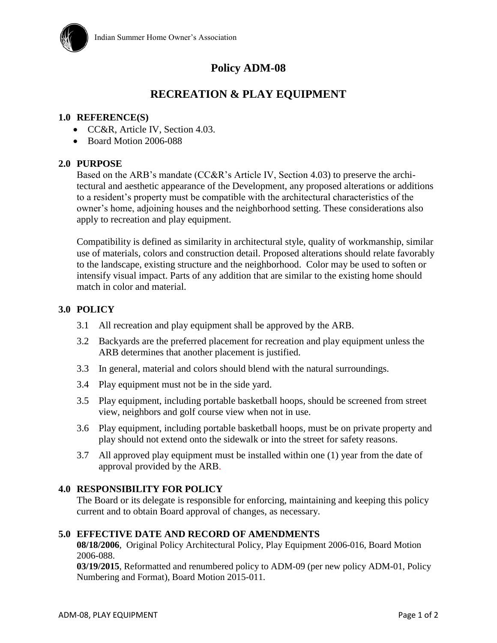

# **Policy ADM-08**

# **RECREATION & PLAY EQUIPMENT**

#### **1.0 REFERENCE(S)**

- CC&R, Article IV, Section 4.03.
- Board Motion 2006-088

#### **2.0 PURPOSE**

Based on the ARB's mandate (CC&R's Article IV, Section 4.03) to preserve the architectural and aesthetic appearance of the Development, any proposed alterations or additions to a resident's property must be compatible with the architectural characteristics of the owner's home, adjoining houses and the neighborhood setting. These considerations also apply to recreation and play equipment.

Compatibility is defined as similarity in architectural style, quality of workmanship, similar use of materials, colors and construction detail. Proposed alterations should relate favorably to the landscape, existing structure and the neighborhood. Color may be used to soften or intensify visual impact. Parts of any addition that are similar to the existing home should match in color and material.

## **3.0 POLICY**

- 3.1 All recreation and play equipment shall be approved by the ARB.
- 3.2 Backyards are the preferred placement for recreation and play equipment unless the ARB determines that another placement is justified.
- 3.3 In general, material and colors should blend with the natural surroundings.
- 3.4 Play equipment must not be in the side yard.
- 3.5 Play equipment, including portable basketball hoops, should be screened from street view, neighbors and golf course view when not in use.
- 3.6 Play equipment, including portable basketball hoops, must be on private property and play should not extend onto the sidewalk or into the street for safety reasons.
- 3.7 All approved play equipment must be installed within one (1) year from the date of approval provided by the ARB.

## **4.0 RESPONSIBILITY FOR POLICY**

The Board or its delegate is responsible for enforcing, maintaining and keeping this policy current and to obtain Board approval of changes, as necessary.

#### **5.0 EFFECTIVE DATE AND RECORD OF AMENDMENTS**

**08/18/2006**, Original Policy Architectural Policy, Play Equipment 2006-016, Board Motion 2006-088.

**03/19/2015**, Reformatted and renumbered policy to ADM-09 (per new policy ADM-01, Policy Numbering and Format), Board Motion 2015-011.